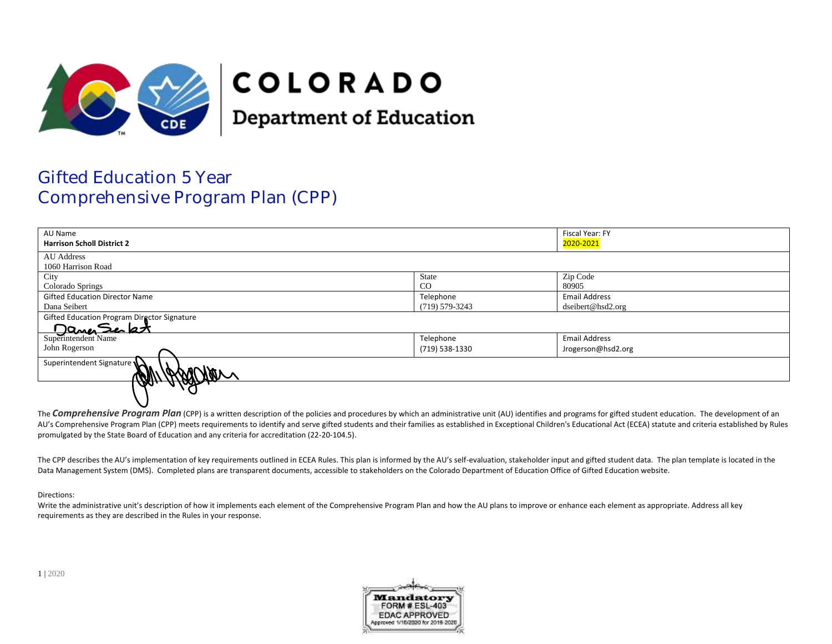

# **COLORADO**

**Department of Education** 

# Gifted Education 5 Year Comprehensive Program Plan (CPP)

| AU Name                                                            |                    | Fiscal Year: FY      |  |
|--------------------------------------------------------------------|--------------------|----------------------|--|
| <b>Harrison Scholl District 2</b>                                  |                    | 2020-2021            |  |
| AU Address                                                         |                    |                      |  |
| 1060 Harrison Road                                                 |                    |                      |  |
| City                                                               | State              | Zip Code             |  |
| Colorado Springs                                                   | $_{\rm CO}$        | 80905                |  |
| <b>Gifted Education Director Name</b>                              | Telephone          | <b>Email Address</b> |  |
| Dana Seibert                                                       | $(719) 579 - 3243$ | dseibert@hsd2.org    |  |
|                                                                    |                    |                      |  |
| Gifted Education Program Director Signature<br>Superintendent Name |                    |                      |  |
|                                                                    | Telephone          | <b>Email Address</b> |  |
| John Rogerson                                                      | (719) 538-1330     | Jrogerson@hsd2.org   |  |
| Superintendent Signature                                           |                    |                      |  |
| $\boldsymbol{\varpi}$<br><u>A/A</u>                                |                    |                      |  |

The **Comprehensive Program Plan** (CPP) is a written description of the policies and procedures by which an administrative unit (AU) identifies and programs for gifted student education. The development of an AU's Comprehensive Program Plan (CPP) meets requirements to identify and serve gifted students and their families as established in Exceptional Children's Educational Act (ECEA) statute and criteria established by Rules promulgated by the State Board of Education and any criteria for accreditation (22-20-104.5).

The CPP describes the AU's implementation of key requirements outlined in ECEA Rules. This plan is informed by the AU's self-evaluation, stakeholder input and gifted student data. The plan template is located in the Data Management System (DMS). Completed plans are transparent documents, accessible to stakeholders on the Colorado Department of Education Office of Gifted Education website.

# Directions:

Write the administrative unit's description of how it implements each element of the Comprehensive Program Plan and how the AU plans to improve or enhance each element as appropriate. Address all key requirements as they are described in the Rules in your response.

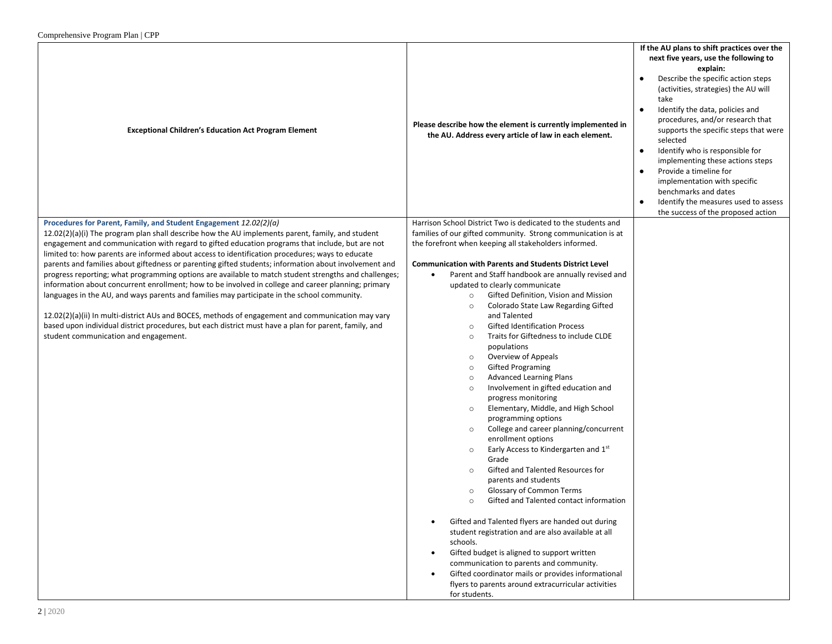| Comprenensive Program Pian   CPP                                                                                                                                                                               |                                                                                                                                  |                                                                                                                                                                                                                                                                                                                                                                                                                                                                                                                                                                                                               |
|----------------------------------------------------------------------------------------------------------------------------------------------------------------------------------------------------------------|----------------------------------------------------------------------------------------------------------------------------------|---------------------------------------------------------------------------------------------------------------------------------------------------------------------------------------------------------------------------------------------------------------------------------------------------------------------------------------------------------------------------------------------------------------------------------------------------------------------------------------------------------------------------------------------------------------------------------------------------------------|
| <b>Exceptional Children's Education Act Program Element</b>                                                                                                                                                    | Please describe how the element is currently implemented in<br>the AU. Address every article of law in each element.             | If the AU plans to shift practices over the<br>next five years, use the following to<br>explain:<br>Describe the specific action steps<br>(activities, strategies) the AU will<br>take<br>Identify the data, policies and<br>$\bullet$<br>procedures, and/or research that<br>supports the specific steps that were<br>selected<br>Identify who is responsible for<br>$\bullet$<br>implementing these actions steps<br>Provide a timeline for<br>$\bullet$<br>implementation with specific<br>benchmarks and dates<br>Identify the measures used to assess<br>$\bullet$<br>the success of the proposed action |
| Procedures for Parent, Family, and Student Engagement 12.02(2)(a)<br>$12.02(2)(a)(i)$ The program plan shall describe how the AU implements parent, family, and student                                        | Harrison School District Two is dedicated to the students and<br>families of our gifted community. Strong communication is at    |                                                                                                                                                                                                                                                                                                                                                                                                                                                                                                                                                                                                               |
| engagement and communication with regard to gifted education programs that include, but are not                                                                                                                | the forefront when keeping all stakeholders informed.                                                                            |                                                                                                                                                                                                                                                                                                                                                                                                                                                                                                                                                                                                               |
| limited to: how parents are informed about access to identification procedures; ways to educate                                                                                                                |                                                                                                                                  |                                                                                                                                                                                                                                                                                                                                                                                                                                                                                                                                                                                                               |
| parents and families about giftedness or parenting gifted students; information about involvement and<br>progress reporting; what programming options are available to match student strengths and challenges; | <b>Communication with Parents and Students District Level</b><br>Parent and Staff handbook are annually revised and<br>$\bullet$ |                                                                                                                                                                                                                                                                                                                                                                                                                                                                                                                                                                                                               |
| information about concurrent enrollment; how to be involved in college and career planning; primary                                                                                                            | updated to clearly communicate                                                                                                   |                                                                                                                                                                                                                                                                                                                                                                                                                                                                                                                                                                                                               |
| languages in the AU, and ways parents and families may participate in the school community.                                                                                                                    | Gifted Definition, Vision and Mission<br>$\circ$                                                                                 |                                                                                                                                                                                                                                                                                                                                                                                                                                                                                                                                                                                                               |
| 12.02(2)(a)(ii) In multi-district AUs and BOCES, methods of engagement and communication may vary                                                                                                              | Colorado State Law Regarding Gifted<br>$\circ$<br>and Talented                                                                   |                                                                                                                                                                                                                                                                                                                                                                                                                                                                                                                                                                                                               |
| based upon individual district procedures, but each district must have a plan for parent, family, and                                                                                                          | <b>Gifted Identification Process</b><br>$\circ$                                                                                  |                                                                                                                                                                                                                                                                                                                                                                                                                                                                                                                                                                                                               |
| student communication and engagement.                                                                                                                                                                          | Traits for Giftedness to include CLDE<br>$\circ$<br>populations                                                                  |                                                                                                                                                                                                                                                                                                                                                                                                                                                                                                                                                                                                               |
|                                                                                                                                                                                                                | Overview of Appeals<br>$\circ$                                                                                                   |                                                                                                                                                                                                                                                                                                                                                                                                                                                                                                                                                                                                               |
|                                                                                                                                                                                                                | <b>Gifted Programing</b><br>$\circ$                                                                                              |                                                                                                                                                                                                                                                                                                                                                                                                                                                                                                                                                                                                               |
|                                                                                                                                                                                                                | <b>Advanced Learning Plans</b><br>$\circ$<br>Involvement in gifted education and<br>$\circ$                                      |                                                                                                                                                                                                                                                                                                                                                                                                                                                                                                                                                                                                               |
|                                                                                                                                                                                                                | progress monitoring                                                                                                              |                                                                                                                                                                                                                                                                                                                                                                                                                                                                                                                                                                                                               |
|                                                                                                                                                                                                                | Elementary, Middle, and High School<br>$\circ$                                                                                   |                                                                                                                                                                                                                                                                                                                                                                                                                                                                                                                                                                                                               |
|                                                                                                                                                                                                                | programming options<br>College and career planning/concurrent<br>$\circ$                                                         |                                                                                                                                                                                                                                                                                                                                                                                                                                                                                                                                                                                                               |
|                                                                                                                                                                                                                | enrollment options                                                                                                               |                                                                                                                                                                                                                                                                                                                                                                                                                                                                                                                                                                                                               |
|                                                                                                                                                                                                                | Early Access to Kindergarten and 1st<br>$\circ$<br>Grade                                                                         |                                                                                                                                                                                                                                                                                                                                                                                                                                                                                                                                                                                                               |
|                                                                                                                                                                                                                | Gifted and Talented Resources for<br>$\circ$                                                                                     |                                                                                                                                                                                                                                                                                                                                                                                                                                                                                                                                                                                                               |
|                                                                                                                                                                                                                | parents and students                                                                                                             |                                                                                                                                                                                                                                                                                                                                                                                                                                                                                                                                                                                                               |
|                                                                                                                                                                                                                | Glossary of Common Terms<br>$\circ$<br>Gifted and Talented contact information<br>$\circ$                                        |                                                                                                                                                                                                                                                                                                                                                                                                                                                                                                                                                                                                               |
|                                                                                                                                                                                                                |                                                                                                                                  |                                                                                                                                                                                                                                                                                                                                                                                                                                                                                                                                                                                                               |
|                                                                                                                                                                                                                | Gifted and Talented flyers are handed out during                                                                                 |                                                                                                                                                                                                                                                                                                                                                                                                                                                                                                                                                                                                               |
|                                                                                                                                                                                                                | student registration and are also available at all<br>schools.                                                                   |                                                                                                                                                                                                                                                                                                                                                                                                                                                                                                                                                                                                               |
|                                                                                                                                                                                                                | Gifted budget is aligned to support written<br>٠                                                                                 |                                                                                                                                                                                                                                                                                                                                                                                                                                                                                                                                                                                                               |
|                                                                                                                                                                                                                | communication to parents and community.                                                                                          |                                                                                                                                                                                                                                                                                                                                                                                                                                                                                                                                                                                                               |
|                                                                                                                                                                                                                | Gifted coordinator mails or provides informational<br>flyers to parents around extracurricular activities                        |                                                                                                                                                                                                                                                                                                                                                                                                                                                                                                                                                                                                               |
|                                                                                                                                                                                                                | for students.                                                                                                                    |                                                                                                                                                                                                                                                                                                                                                                                                                                                                                                                                                                                                               |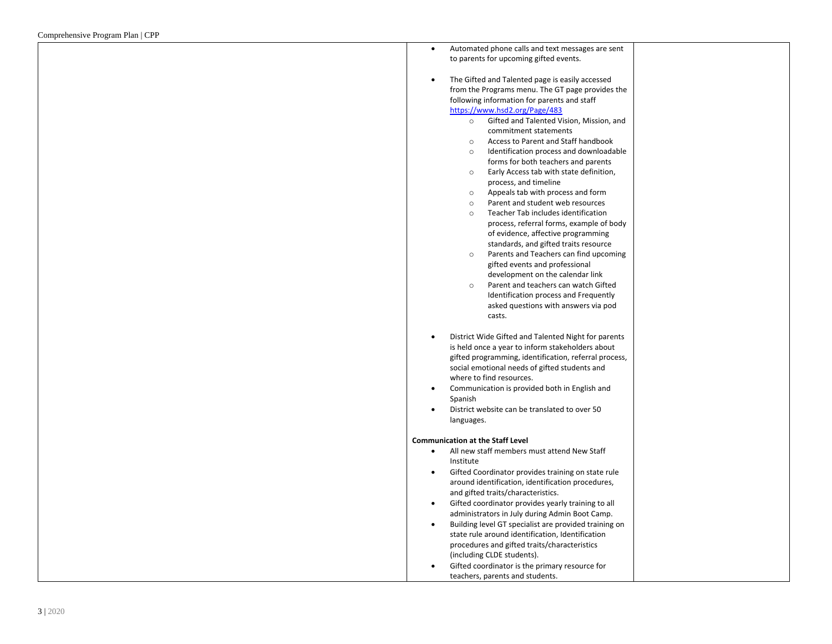| Automated phone calls and text messages are sent<br>$\bullet$            |  |
|--------------------------------------------------------------------------|--|
| to parents for upcoming gifted events.                                   |  |
|                                                                          |  |
| The Gifted and Talented page is easily accessed<br>$\bullet$             |  |
| from the Programs menu. The GT page provides the                         |  |
| following information for parents and staff                              |  |
| https://www.hsd2.org/Page/483                                            |  |
| Gifted and Talented Vision, Mission, and<br>$\circ$                      |  |
| commitment statements                                                    |  |
| Access to Parent and Staff handbook<br>$\circ$                           |  |
| Identification process and downloadable<br>$\circ$                       |  |
| forms for both teachers and parents                                      |  |
| Early Access tab with state definition,<br>$\circ$                       |  |
| process, and timeline                                                    |  |
| Appeals tab with process and form<br>$\circ$                             |  |
| Parent and student web resources<br>$\circ$                              |  |
| Teacher Tab includes identification<br>$\circ$                           |  |
| process, referral forms, example of body                                 |  |
| of evidence, affective programming                                       |  |
| standards, and gifted traits resource                                    |  |
| Parents and Teachers can find upcoming<br>$\circ$                        |  |
| gifted events and professional                                           |  |
| development on the calendar link<br>Parent and teachers can watch Gifted |  |
| $\circ$                                                                  |  |
| Identification process and Frequently                                    |  |
| asked questions with answers via pod<br>casts.                           |  |
|                                                                          |  |
| District Wide Gifted and Talented Night for parents<br>$\bullet$         |  |
| is held once a year to inform stakeholders about                         |  |
| gifted programming, identification, referral process,                    |  |
| social emotional needs of gifted students and                            |  |
| where to find resources.                                                 |  |
| Communication is provided both in English and<br>$\bullet$               |  |
| Spanish                                                                  |  |
| District website can be translated to over 50                            |  |
| languages.                                                               |  |
|                                                                          |  |
| <b>Communication at the Staff Level</b>                                  |  |
| All new staff members must attend New Staff                              |  |
| Institute                                                                |  |
| Gifted Coordinator provides training on state rule<br>$\bullet$          |  |
| around identification, identification procedures,                        |  |
| and gifted traits/characteristics.                                       |  |
| Gifted coordinator provides yearly training to all<br>$\bullet$          |  |
| administrators in July during Admin Boot Camp.                           |  |
| Building level GT specialist are provided training on<br>$\bullet$       |  |
| state rule around identification, Identification                         |  |
| procedures and gifted traits/characteristics                             |  |
| (including CLDE students).                                               |  |
| Gifted coordinator is the primary resource for                           |  |
| teachers, parents and students.                                          |  |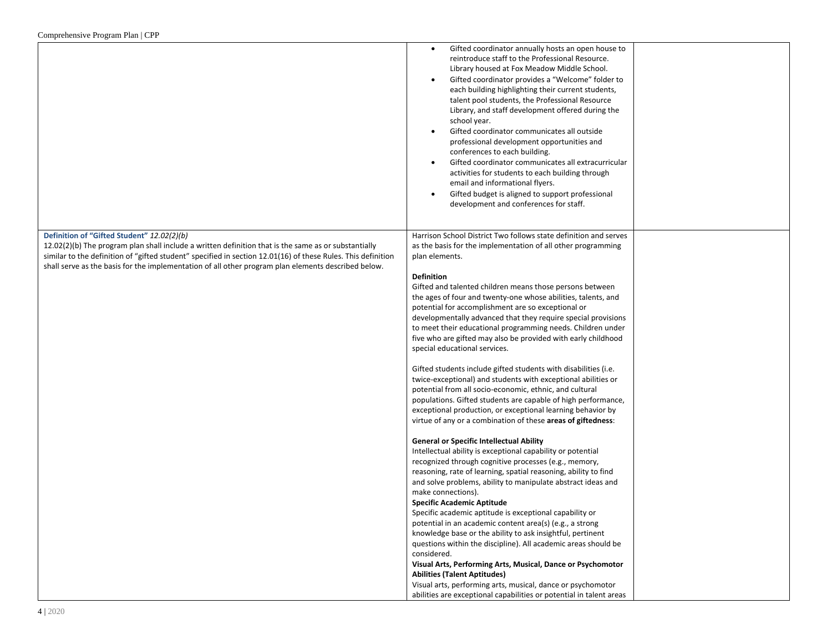|                                                                                                                                                                                                                                                                                                                                                                             | Gifted coordinator annually hosts an open house to<br>$\bullet$<br>reintroduce staff to the Professional Resource.<br>Library housed at Fox Meadow Middle School.<br>Gifted coordinator provides a "Welcome" folder to<br>each building highlighting their current students,<br>talent pool students, the Professional Resource<br>Library, and staff development offered during the<br>school year.<br>Gifted coordinator communicates all outside<br>professional development opportunities and<br>conferences to each building.<br>Gifted coordinator communicates all extracurricular<br>$\bullet$<br>activities for students to each building through<br>email and informational flyers.<br>Gifted budget is aligned to support professional<br>development and conferences for staff.                                                                                                                                                                                                                                                                                                                                                                                                                                                                                                                                                                                                                                                                                                                                                                                                                                                                                                                                                                                                                                                                                            |
|-----------------------------------------------------------------------------------------------------------------------------------------------------------------------------------------------------------------------------------------------------------------------------------------------------------------------------------------------------------------------------|----------------------------------------------------------------------------------------------------------------------------------------------------------------------------------------------------------------------------------------------------------------------------------------------------------------------------------------------------------------------------------------------------------------------------------------------------------------------------------------------------------------------------------------------------------------------------------------------------------------------------------------------------------------------------------------------------------------------------------------------------------------------------------------------------------------------------------------------------------------------------------------------------------------------------------------------------------------------------------------------------------------------------------------------------------------------------------------------------------------------------------------------------------------------------------------------------------------------------------------------------------------------------------------------------------------------------------------------------------------------------------------------------------------------------------------------------------------------------------------------------------------------------------------------------------------------------------------------------------------------------------------------------------------------------------------------------------------------------------------------------------------------------------------------------------------------------------------------------------------------------------------|
| Definition of "Gifted Student" 12.02(2)(b)<br>$12.02(2)(b)$ The program plan shall include a written definition that is the same as or substantially<br>similar to the definition of "gifted student" specified in section 12.01(16) of these Rules. This definition<br>shall serve as the basis for the implementation of all other program plan elements described below. | Harrison School District Two follows state definition and serves<br>as the basis for the implementation of all other programming<br>plan elements.<br><b>Definition</b><br>Gifted and talented children means those persons between<br>the ages of four and twenty-one whose abilities, talents, and<br>potential for accomplishment are so exceptional or<br>developmentally advanced that they require special provisions<br>to meet their educational programming needs. Children under<br>five who are gifted may also be provided with early childhood<br>special educational services.<br>Gifted students include gifted students with disabilities (i.e.<br>twice-exceptional) and students with exceptional abilities or<br>potential from all socio-economic, ethnic, and cultural<br>populations. Gifted students are capable of high performance,<br>exceptional production, or exceptional learning behavior by<br>virtue of any or a combination of these areas of giftedness:<br><b>General or Specific Intellectual Ability</b><br>Intellectual ability is exceptional capability or potential<br>recognized through cognitive processes (e.g., memory,<br>reasoning, rate of learning, spatial reasoning, ability to find<br>and solve problems, ability to manipulate abstract ideas and<br>make connections).<br><b>Specific Academic Aptitude</b><br>Specific academic aptitude is exceptional capability or<br>potential in an academic content area(s) (e.g., a strong<br>knowledge base or the ability to ask insightful, pertinent<br>questions within the discipline). All academic areas should be<br>considered.<br>Visual Arts, Performing Arts, Musical, Dance or Psychomotor<br><b>Abilities (Talent Aptitudes)</b><br>Visual arts, performing arts, musical, dance or psychomotor<br>abilities are exceptional capabilities or potential in talent areas |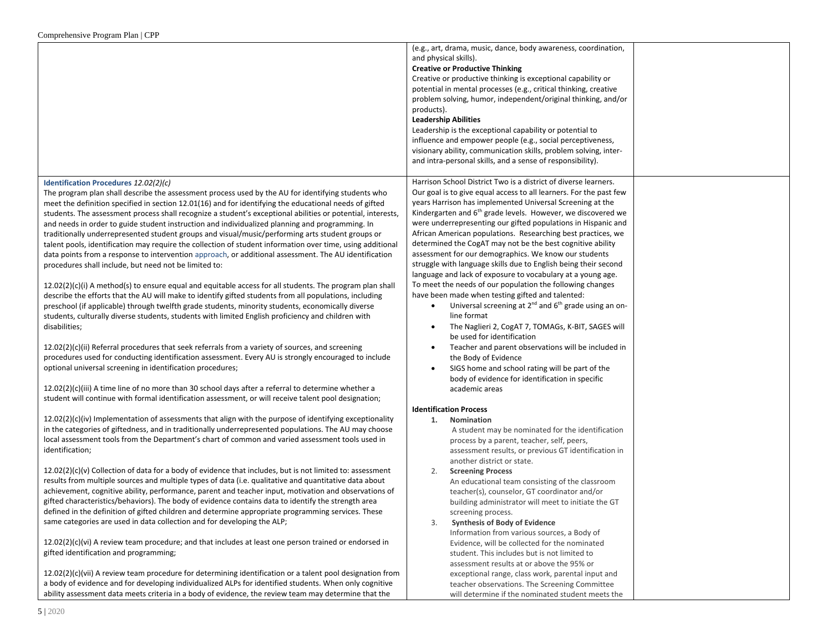|                                                                                                                                                                                                                                                                                                                                                                                                                                                                                                                                                                                                                                                                                                                                                                                                                                                                                                                                                                                                                                                                                                                                                                                                                                                                                                                 | (e.g., art, drama, music, dance, body awareness, coordination,<br>and physical skills).<br><b>Creative or Productive Thinking</b><br>Creative or productive thinking is exceptional capability or<br>potential in mental processes (e.g., critical thinking, creative<br>problem solving, humor, independent/original thinking, and/or<br>products).<br><b>Leadership Abilities</b><br>Leadership is the exceptional capability or potential to<br>influence and empower people (e.g., social perceptiveness,<br>visionary ability, communication skills, problem solving, inter-<br>and intra-personal skills, and a sense of responsibility).                                                                                                                                                                                                                                                                                                              |
|-----------------------------------------------------------------------------------------------------------------------------------------------------------------------------------------------------------------------------------------------------------------------------------------------------------------------------------------------------------------------------------------------------------------------------------------------------------------------------------------------------------------------------------------------------------------------------------------------------------------------------------------------------------------------------------------------------------------------------------------------------------------------------------------------------------------------------------------------------------------------------------------------------------------------------------------------------------------------------------------------------------------------------------------------------------------------------------------------------------------------------------------------------------------------------------------------------------------------------------------------------------------------------------------------------------------|--------------------------------------------------------------------------------------------------------------------------------------------------------------------------------------------------------------------------------------------------------------------------------------------------------------------------------------------------------------------------------------------------------------------------------------------------------------------------------------------------------------------------------------------------------------------------------------------------------------------------------------------------------------------------------------------------------------------------------------------------------------------------------------------------------------------------------------------------------------------------------------------------------------------------------------------------------------|
| Identification Procedures 12.02(2)(c)<br>The program plan shall describe the assessment process used by the AU for identifying students who<br>meet the definition specified in section 12.01(16) and for identifying the educational needs of gifted<br>students. The assessment process shall recognize a student's exceptional abilities or potential, interests,<br>and needs in order to guide student instruction and individualized planning and programming. In<br>traditionally underrepresented student groups and visual/music/performing arts student groups or<br>talent pools, identification may require the collection of student information over time, using additional<br>data points from a response to intervention approach, or additional assessment. The AU identification<br>procedures shall include, but need not be limited to:<br>$12.02(2)(c)(i)$ A method(s) to ensure equal and equitable access for all students. The program plan shall<br>describe the efforts that the AU will make to identify gifted students from all populations, including<br>preschool (if applicable) through twelfth grade students, minority students, economically diverse<br>students, culturally diverse students, students with limited English proficiency and children with<br>disabilities; | Harrison School District Two is a district of diverse learners.<br>Our goal is to give equal access to all learners. For the past few<br>years Harrison has implemented Universal Screening at the<br>Kindergarten and 6 <sup>th</sup> grade levels. However, we discovered we<br>were underrepresenting our gifted populations in Hispanic and<br>African American populations. Researching best practices, we<br>determined the CogAT may not be the best cognitive ability<br>assessment for our demographics. We know our students<br>struggle with language skills due to English being their second<br>language and lack of exposure to vocabulary at a young age.<br>To meet the needs of our population the following changes<br>have been made when testing gifted and talented:<br>Universal screening at 2 <sup>nd</sup> and 6 <sup>th</sup> grade using an on-<br>line format<br>The Naglieri 2, CogAT 7, TOMAGs, K-BIT, SAGES will<br>$\bullet$ |
| $12.02(2)(c)(ii)$ Referral procedures that seek referrals from a variety of sources, and screening<br>procedures used for conducting identification assessment. Every AU is strongly encouraged to include<br>optional universal screening in identification procedures;<br>$12.02(2)(c)(iii)$ A time line of no more than 30 school days after a referral to determine whether a                                                                                                                                                                                                                                                                                                                                                                                                                                                                                                                                                                                                                                                                                                                                                                                                                                                                                                                               | be used for identification<br>Teacher and parent observations will be included in<br>the Body of Evidence<br>SIGS home and school rating will be part of the<br>body of evidence for identification in specific<br>academic areas                                                                                                                                                                                                                                                                                                                                                                                                                                                                                                                                                                                                                                                                                                                            |
| student will continue with formal identification assessment, or will receive talent pool designation;                                                                                                                                                                                                                                                                                                                                                                                                                                                                                                                                                                                                                                                                                                                                                                                                                                                                                                                                                                                                                                                                                                                                                                                                           |                                                                                                                                                                                                                                                                                                                                                                                                                                                                                                                                                                                                                                                                                                                                                                                                                                                                                                                                                              |
| $12.02(2)(c)(iv)$ Implementation of assessments that align with the purpose of identifying exceptionality<br>in the categories of giftedness, and in traditionally underrepresented populations. The AU may choose<br>local assessment tools from the Department's chart of common and varied assessment tools used in<br>identification;                                                                                                                                                                                                                                                                                                                                                                                                                                                                                                                                                                                                                                                                                                                                                                                                                                                                                                                                                                       | <b>Identification Process</b><br>Nomination<br>1.<br>A student may be nominated for the identification<br>process by a parent, teacher, self, peers,<br>assessment results, or previous GT identification in<br>another district or state.                                                                                                                                                                                                                                                                                                                                                                                                                                                                                                                                                                                                                                                                                                                   |
| $12.02(2)(c)(v)$ Collection of data for a body of evidence that includes, but is not limited to: assessment<br>results from multiple sources and multiple types of data (i.e. qualitative and quantitative data about<br>achievement, cognitive ability, performance, parent and teacher input, motivation and observations of<br>gifted characteristics/behaviors). The body of evidence contains data to identify the strength area<br>defined in the definition of gifted children and determine appropriate programming services. These<br>same categories are used in data collection and for developing the ALP;                                                                                                                                                                                                                                                                                                                                                                                                                                                                                                                                                                                                                                                                                          | 2.<br><b>Screening Process</b><br>An educational team consisting of the classroom<br>teacher(s), counselor, GT coordinator and/or<br>building administrator will meet to initiate the GT<br>screening process.<br>3.<br><b>Synthesis of Body of Evidence</b>                                                                                                                                                                                                                                                                                                                                                                                                                                                                                                                                                                                                                                                                                                 |
| $12.02(2)(c)(vi)$ A review team procedure; and that includes at least one person trained or endorsed in<br>gifted identification and programming;                                                                                                                                                                                                                                                                                                                                                                                                                                                                                                                                                                                                                                                                                                                                                                                                                                                                                                                                                                                                                                                                                                                                                               | Information from various sources, a Body of<br>Evidence, will be collected for the nominated<br>student. This includes but is not limited to<br>assessment results at or above the 95% or                                                                                                                                                                                                                                                                                                                                                                                                                                                                                                                                                                                                                                                                                                                                                                    |
| $12.02(2)(c)(vi)$ A review team procedure for determining identification or a talent pool designation from<br>a body of evidence and for developing individualized ALPs for identified students. When only cognitive<br>ability assessment data meets criteria in a body of evidence, the review team may determine that the                                                                                                                                                                                                                                                                                                                                                                                                                                                                                                                                                                                                                                                                                                                                                                                                                                                                                                                                                                                    | exceptional range, class work, parental input and<br>teacher observations. The Screening Committee<br>will determine if the nominated student meets the                                                                                                                                                                                                                                                                                                                                                                                                                                                                                                                                                                                                                                                                                                                                                                                                      |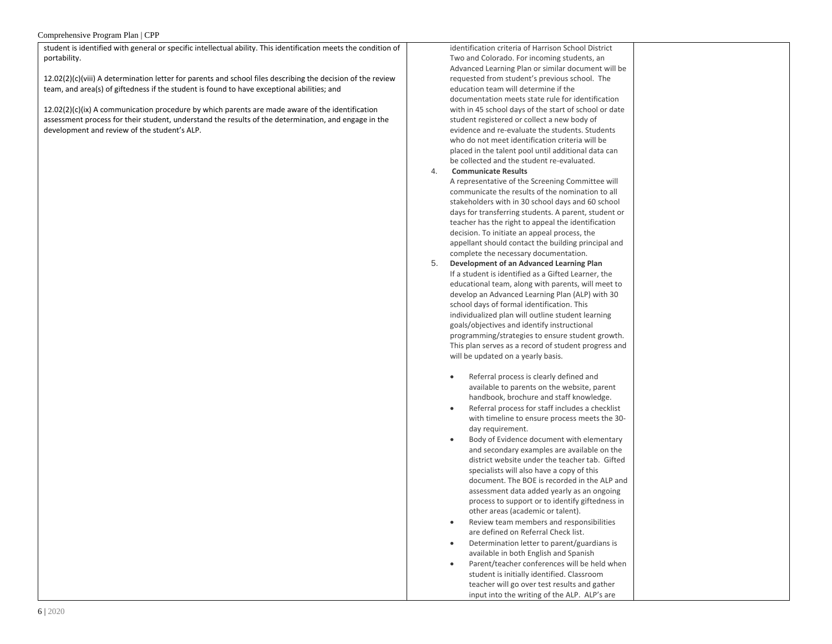## Comprehensive Program Plan | CPP

student is identified with general or specific intellectual ability. This identification meets the condition of portability.

12.02(2)(c)(viii) A determination letter for parents and school files describing the decision of the review team, and area(s) of giftedness if the student is found to have exceptional abilities; and

 $12.02(2)(c)(ix)$  A communication procedure by which parents are made aware of the identification assessment process for their student, understand the results of the determination, and engage in the development and review of the student's ALP.

identification criteria of Harrison School District Two and Colorado. For incoming students, an Advanced Learning Plan or similar document will be requested from student's previous school. The education team will determine if the documentation meets state rule for identification with in 45 school days of the start of school or date student registered or collect a new body of evidence and re-evaluate the students. Students who do not meet identification criteria will be placed in the talent pool until additional data can be collected and the student re-evaluated.

# 4. **Communicate Results**

A representative of the Screening Committee will communicate the results of the nomination to all stakeholders with in 30 school days and 60 school days for transferring students. A parent, student or teacher has the right to appeal the identification decision. To initiate an appeal process, the appellant should contact the building principal and complete the necessary documentation.

- 5. **Development of an Advanced Learning Plan** If a student is identified as a Gifted Learner, the educational team, along with parents, will meet to develop an Advanced Learning Plan (ALP) with 30 school days of formal identification. This individualized plan will outline student learning goals/objectives and identify instructional programming/strategies to ensure student growth. This plan serves as a record of student progress and will be updated on a yearly basis.
	- Referral process is clearly defined and available to parents on the website, parent handbook, brochure and staff knowledge.
	- Referral process for staff includes a checklist with timeline to ensure process meets the 30 day requirement.
	- Body of Evidence document with elementary and secondary examples are available on the district website under the teacher tab. Gifted specialists will also have a copy of this document. The BOE is recorded in the ALP and assessment data added yearly as an ongoing process to support or to identify giftedness in other areas (academic or talent).
	- Review team members and responsibilities are defined on Referral Check list.
	- Determination letter to parent/guardians is available in both English and Spanish
	- Parent/teacher conferences will be held when student is initially identified. Classroom teacher will go over test results and gather input into the writing of the ALP. ALP's are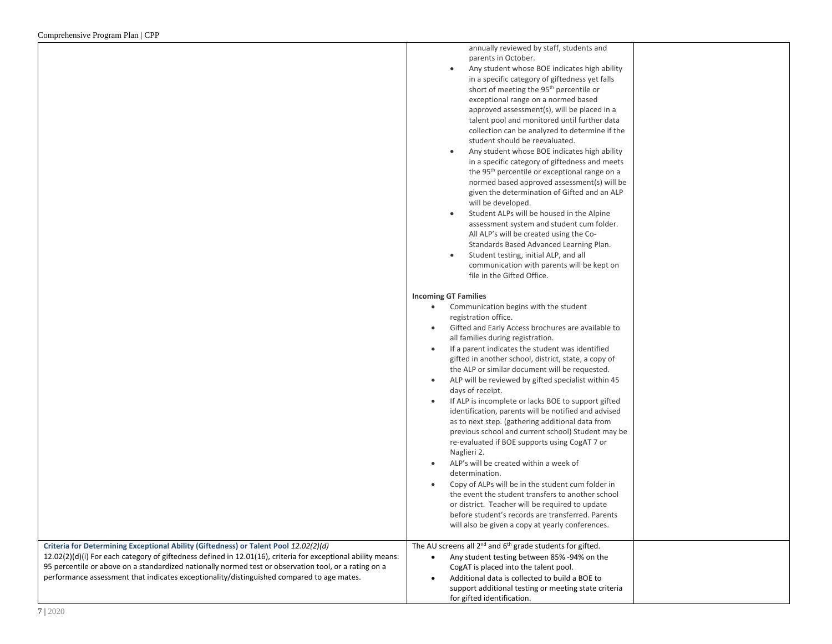|                                                                                                                                                                                                                                                                                                                                                                                                            | annually reviewed by staff, students and<br>parents in October.<br>Any student whose BOE indicates high ability<br>in a specific category of giftedness yet falls<br>short of meeting the 95 <sup>th</sup> percentile or<br>exceptional range on a normed based<br>approved assessment(s), will be placed in a<br>talent pool and monitored until further data<br>collection can be analyzed to determine if the<br>student should be reevaluated.<br>Any student whose BOE indicates high ability<br>in a specific category of giftedness and meets<br>the 95 <sup>th</sup> percentile or exceptional range on a<br>normed based approved assessment(s) will be<br>given the determination of Gifted and an ALP<br>will be developed.<br>Student ALPs will be housed in the Alpine<br>$\bullet$<br>assessment system and student cum folder.<br>All ALP's will be created using the Co-<br>Standards Based Advanced Learning Plan.<br>Student testing, initial ALP, and all<br>communication with parents will be kept on<br>file in the Gifted Office.                                                                |
|------------------------------------------------------------------------------------------------------------------------------------------------------------------------------------------------------------------------------------------------------------------------------------------------------------------------------------------------------------------------------------------------------------|-------------------------------------------------------------------------------------------------------------------------------------------------------------------------------------------------------------------------------------------------------------------------------------------------------------------------------------------------------------------------------------------------------------------------------------------------------------------------------------------------------------------------------------------------------------------------------------------------------------------------------------------------------------------------------------------------------------------------------------------------------------------------------------------------------------------------------------------------------------------------------------------------------------------------------------------------------------------------------------------------------------------------------------------------------------------------------------------------------------------------|
|                                                                                                                                                                                                                                                                                                                                                                                                            | <b>Incoming GT Families</b>                                                                                                                                                                                                                                                                                                                                                                                                                                                                                                                                                                                                                                                                                                                                                                                                                                                                                                                                                                                                                                                                                             |
|                                                                                                                                                                                                                                                                                                                                                                                                            | Communication begins with the student<br>$\bullet$<br>registration office.<br>Gifted and Early Access brochures are available to<br>$\bullet$<br>all families during registration.<br>If a parent indicates the student was identified<br>$\bullet$<br>gifted in another school, district, state, a copy of<br>the ALP or similar document will be requested.<br>ALP will be reviewed by gifted specialist within 45<br>$\bullet$<br>days of receipt.<br>If ALP is incomplete or lacks BOE to support gifted<br>$\bullet$<br>identification, parents will be notified and advised<br>as to next step. (gathering additional data from<br>previous school and current school) Student may be<br>re-evaluated if BOE supports using CogAT 7 or<br>Naglieri 2.<br>ALP's will be created within a week of<br>$\bullet$<br>determination.<br>Copy of ALPs will be in the student cum folder in<br>$\bullet$<br>the event the student transfers to another school<br>or district. Teacher will be required to update<br>before student's records are transferred. Parents<br>will also be given a copy at yearly conferences. |
| Criteria for Determining Exceptional Ability (Giftedness) or Talent Pool 12.02(2)(d)<br>12.02(2)(d)(i) For each category of giftedness defined in 12.01(16), criteria for exceptional ability means:<br>95 percentile or above on a standardized nationally normed test or observation tool, or a rating on a<br>performance assessment that indicates exceptionality/distinguished compared to age mates. | The AU screens all 2 <sup>nd</sup> and 6 <sup>th</sup> grade students for gifted.<br>Any student testing between 85% -94% on the<br>CogAT is placed into the talent pool.<br>Additional data is collected to build a BOE to<br>$\bullet$<br>support additional testing or meeting state criteria<br>for gifted identification.                                                                                                                                                                                                                                                                                                                                                                                                                                                                                                                                                                                                                                                                                                                                                                                          |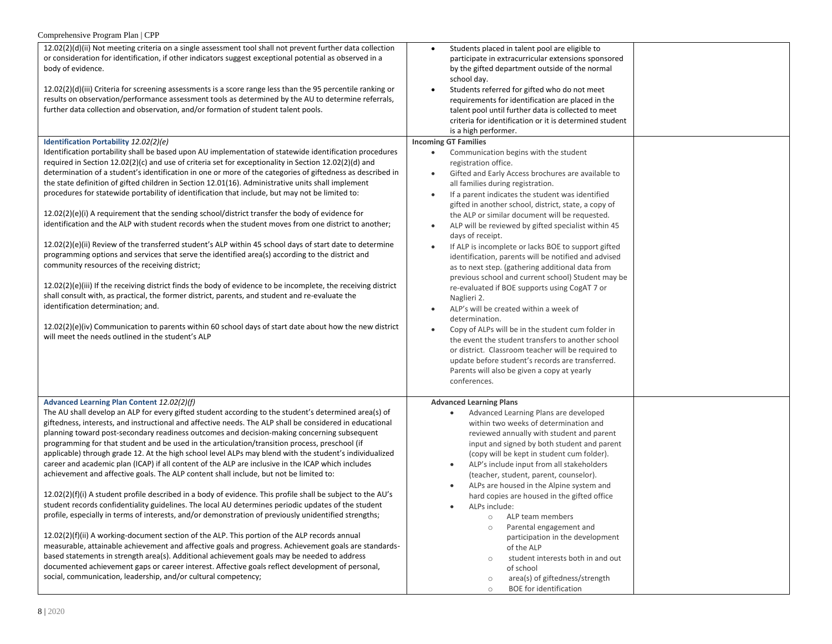| Comprehensive Program Plan   CPP                                                                                                                                                                                                                                                                                                                                                                                                                                                                                                                                                                                                                                                                                                                                                                                                                                                                                                                                                                                                                                                                                                                                                                                                                                                                                                                                                                                                                      |                                                                                                                                                                                                                                                                                                                                                                                                                                                                                                                                                                                                                                                                                                                                                                                                                                                                                                                                                                                                                                                                                  |
|-------------------------------------------------------------------------------------------------------------------------------------------------------------------------------------------------------------------------------------------------------------------------------------------------------------------------------------------------------------------------------------------------------------------------------------------------------------------------------------------------------------------------------------------------------------------------------------------------------------------------------------------------------------------------------------------------------------------------------------------------------------------------------------------------------------------------------------------------------------------------------------------------------------------------------------------------------------------------------------------------------------------------------------------------------------------------------------------------------------------------------------------------------------------------------------------------------------------------------------------------------------------------------------------------------------------------------------------------------------------------------------------------------------------------------------------------------|----------------------------------------------------------------------------------------------------------------------------------------------------------------------------------------------------------------------------------------------------------------------------------------------------------------------------------------------------------------------------------------------------------------------------------------------------------------------------------------------------------------------------------------------------------------------------------------------------------------------------------------------------------------------------------------------------------------------------------------------------------------------------------------------------------------------------------------------------------------------------------------------------------------------------------------------------------------------------------------------------------------------------------------------------------------------------------|
| 12.02(2)(d)(ii) Not meeting criteria on a single assessment tool shall not prevent further data collection<br>or consideration for identification, if other indicators suggest exceptional potential as observed in a<br>body of evidence.<br>$12.02(2)(d)(iii)$ Criteria for screening assessments is a score range less than the 95 percentile ranking or<br>results on observation/performance assessment tools as determined by the AU to determine referrals,<br>further data collection and observation, and/or formation of student talent pools.                                                                                                                                                                                                                                                                                                                                                                                                                                                                                                                                                                                                                                                                                                                                                                                                                                                                                              | Students placed in talent pool are eligible to<br>participate in extracurricular extensions sponsored<br>by the gifted department outside of the normal<br>school day.<br>Students referred for gifted who do not meet<br>$\bullet$<br>requirements for identification are placed in the<br>talent pool until further data is collected to meet<br>criteria for identification or it is determined student<br>is a high performer.                                                                                                                                                                                                                                                                                                                                                                                                                                                                                                                                                                                                                                               |
| Identification Portability 12.02(2)(e)                                                                                                                                                                                                                                                                                                                                                                                                                                                                                                                                                                                                                                                                                                                                                                                                                                                                                                                                                                                                                                                                                                                                                                                                                                                                                                                                                                                                                | <b>Incoming GT Families</b>                                                                                                                                                                                                                                                                                                                                                                                                                                                                                                                                                                                                                                                                                                                                                                                                                                                                                                                                                                                                                                                      |
| Identification portability shall be based upon AU implementation of statewide identification procedures<br>required in Section 12.02(2)(c) and use of criteria set for exceptionality in Section 12.02(2)(d) and<br>determination of a student's identification in one or more of the categories of giftedness as described in<br>the state definition of gifted children in Section 12.01(16). Administrative units shall implement<br>procedures for statewide portability of identification that include, but may not be limited to:<br>$12.02(2)(e)(i)$ A requirement that the sending school/district transfer the body of evidence for<br>identification and the ALP with student records when the student moves from one district to another;<br>12.02(2)(e)(ii) Review of the transferred student's ALP within 45 school days of start date to determine<br>programming options and services that serve the identified area(s) according to the district and<br>community resources of the receiving district;<br>$12.02(2)(e)(iii)$ If the receiving district finds the body of evidence to be incomplete, the receiving district<br>shall consult with, as practical, the former district, parents, and student and re-evaluate the<br>identification determination; and.<br>$12.02(2)(e)(iv)$ Communication to parents within 60 school days of start date about how the new district<br>will meet the needs outlined in the student's ALP | Communication begins with the student<br>$\bullet$<br>registration office.<br>Gifted and Early Access brochures are available to<br>$\bullet$<br>all families during registration.<br>If a parent indicates the student was identified<br>gifted in another school, district, state, a copy of<br>the ALP or similar document will be requested.<br>ALP will be reviewed by gifted specialist within 45<br>$\bullet$<br>days of receipt.<br>If ALP is incomplete or lacks BOE to support gifted<br>identification, parents will be notified and advised<br>as to next step. (gathering additional data from<br>previous school and current school) Student may be<br>re-evaluated if BOE supports using CogAT 7 or<br>Naglieri 2.<br>ALP's will be created within a week of<br>determination.<br>Copy of ALPs will be in the student cum folder in<br>the event the student transfers to another school<br>or district. Classroom teacher will be required to<br>update before student's records are transferred.<br>Parents will also be given a copy at yearly<br>conferences. |
| Advanced Learning Plan Content 12.02(2)(f)                                                                                                                                                                                                                                                                                                                                                                                                                                                                                                                                                                                                                                                                                                                                                                                                                                                                                                                                                                                                                                                                                                                                                                                                                                                                                                                                                                                                            | <b>Advanced Learning Plans</b>                                                                                                                                                                                                                                                                                                                                                                                                                                                                                                                                                                                                                                                                                                                                                                                                                                                                                                                                                                                                                                                   |
| The AU shall develop an ALP for every gifted student according to the student's determined area(s) of<br>giftedness, interests, and instructional and affective needs. The ALP shall be considered in educational<br>planning toward post-secondary readiness outcomes and decision-making concerning subsequent<br>programming for that student and be used in the articulation/transition process, preschool (if<br>applicable) through grade 12. At the high school level ALPs may blend with the student's individualized<br>career and academic plan (ICAP) if all content of the ALP are inclusive in the ICAP which includes<br>achievement and affective goals. The ALP content shall include, but not be limited to:<br>12.02(2)(f)(i) A student profile described in a body of evidence. This profile shall be subject to the AU's                                                                                                                                                                                                                                                                                                                                                                                                                                                                                                                                                                                                          | Advanced Learning Plans are developed<br>$\bullet$<br>within two weeks of determination and<br>reviewed annually with student and parent<br>input and signed by both student and parent<br>(copy will be kept in student cum folder).<br>ALP's include input from all stakeholders<br>(teacher, student, parent, counselor).<br>ALPs are housed in the Alpine system and<br>hard copies are housed in the gifted office                                                                                                                                                                                                                                                                                                                                                                                                                                                                                                                                                                                                                                                          |
| student records confidentiality guidelines. The local AU determines periodic updates of the student<br>profile, especially in terms of interests, and/or demonstration of previously unidentified strengths;                                                                                                                                                                                                                                                                                                                                                                                                                                                                                                                                                                                                                                                                                                                                                                                                                                                                                                                                                                                                                                                                                                                                                                                                                                          | ALPs include:<br>ALP team members<br>$\circ$<br>Parental engagement and<br>$\circ$                                                                                                                                                                                                                                                                                                                                                                                                                                                                                                                                                                                                                                                                                                                                                                                                                                                                                                                                                                                               |
| $12.02(2)(f)(ii)$ A working-document section of the ALP. This portion of the ALP records annual<br>measurable, attainable achievement and affective goals and progress. Achievement goals are standards-<br>based statements in strength area(s). Additional achievement goals may be needed to address<br>documented achievement gaps or career interest. Affective goals reflect development of personal,<br>social, communication, leadership, and/or cultural competency;                                                                                                                                                                                                                                                                                                                                                                                                                                                                                                                                                                                                                                                                                                                                                                                                                                                                                                                                                                         | participation in the development<br>of the ALP<br>student interests both in and out<br>$\circ$<br>of school<br>area(s) of giftedness/strength<br>$\circ$<br><b>BOE</b> for identification<br>$\circ$                                                                                                                                                                                                                                                                                                                                                                                                                                                                                                                                                                                                                                                                                                                                                                                                                                                                             |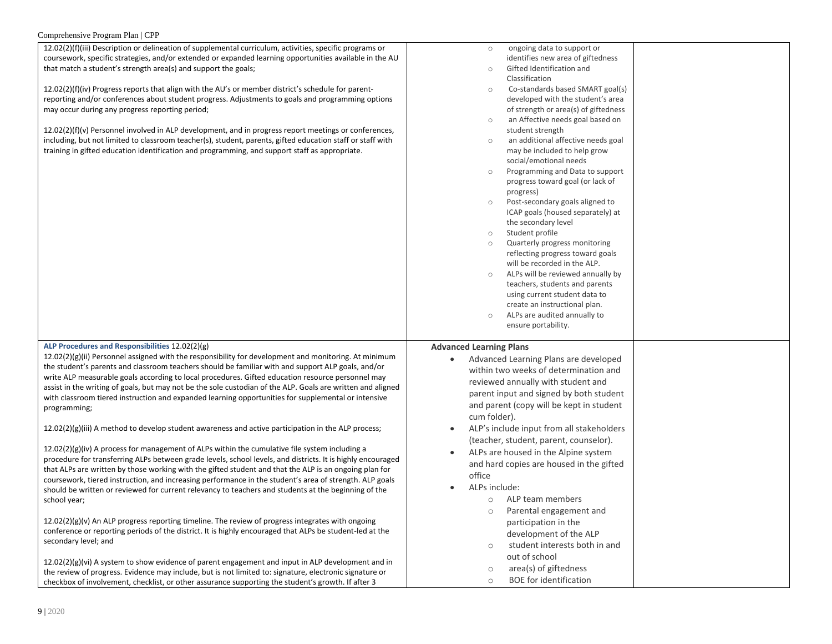#### Comprehensive Program Plan | CPP

| $12.02(2)(f)(iii)$ Description or delineation of supplemental curriculum, activities, specific programs or |
|------------------------------------------------------------------------------------------------------------|
| coursework, specific strategies, and/or extended or expanded learning opportunities available in the AU    |
| that match a student's strength area(s) and support the goals;                                             |

 $12.02(2)(f)(iv)$  Progress reports that align with the AU's or reporting and/or conferences about student progress. Ad may occur during any progress reporting period;

12.02(2)(f)(v) Personnel involved in ALP development, and including, but not limited to classroom teacher(s), studer training in gifted education identification and programm

**ALP Procedures and Responsibilities** 12.02(2)(g)

 $12.02(2)(g)(ii)$  Personnel assigned with the responsibility the student's parents and classroom teachers should be write ALP measurable goals according to local procedure assist in the writing of goals, but may not be the sole cus with classroom tiered instruction and expanded learning programming;

 $12.02(2)(g)(iii)$  A method to develop student awareness

 $12.02(2)(g)(iv)$  A process for management of ALPs within procedure for transferring ALPs between grade levels, sc that ALPs are written by those working with the gifted st coursework, tiered instruction, and increasing performar should be written or reviewed for current relevancy to te school year;

 $12.02(2)(g)(v)$  An ALP progress reporting timeline. The re conference or reporting periods of the district. It is highly secondary level; and

12.02(2)(g)(vi) A system to show evidence of parent enga the review of progress. Evidence may include, but is not checkbox of involvement, checklist, or other assurance supporting the student's growth. If after 3

| al curriculum, activities, specific programs or      | ongoing data to support or<br>$\circ$                  |  |
|------------------------------------------------------|--------------------------------------------------------|--|
| anded learning opportunities available in the AU     | identifies new area of giftedness                      |  |
| goals;                                               | Gifted Identification and<br>$\circ$                   |  |
|                                                      | Classification                                         |  |
| or member district's schedule for parent-            | Co-standards based SMART goal(s)<br>$\circ$            |  |
| djustments to goals and programming options          | developed with the student's area                      |  |
|                                                      | of strength or area(s) of giftedness                   |  |
|                                                      | an Affective needs goal based on<br>$\circ$            |  |
| nd in progress report meetings or conferences,       | student strength                                       |  |
| nt, parents, gifted education staff or staff with    | an additional affective needs goal<br>$\circ$          |  |
| ing, and support staff as appropriate.               | may be included to help grow                           |  |
|                                                      | social/emotional needs                                 |  |
|                                                      | Programming and Data to support<br>$\circ$             |  |
|                                                      | progress toward goal (or lack of                       |  |
|                                                      | progress)                                              |  |
|                                                      | Post-secondary goals aligned to<br>$\circ$             |  |
|                                                      | ICAP goals (housed separately) at                      |  |
|                                                      | the secondary level                                    |  |
|                                                      | Student profile<br>$\circ$                             |  |
|                                                      | Quarterly progress monitoring<br>$\circ$               |  |
|                                                      | reflecting progress toward goals                       |  |
|                                                      | will be recorded in the ALP.                           |  |
|                                                      | ALPs will be reviewed annually by<br>$\circ$           |  |
|                                                      | teachers, students and parents                         |  |
|                                                      | using current student data to                          |  |
|                                                      | create an instructional plan.                          |  |
|                                                      | ALPs are audited annually to<br>$\circ$                |  |
|                                                      | ensure portability.                                    |  |
|                                                      | <b>Advanced Learning Plans</b>                         |  |
| for development and monitoring. At minimum           | Advanced Learning Plans are developed                  |  |
| familiar with and support ALP goals, and/or          | within two weeks of determination and                  |  |
| es. Gifted education resource personnel may          |                                                        |  |
| stodian of the ALP. Goals are written and aligned    | reviewed annually with student and                     |  |
| gopportunities for supplemental or intensive         | parent input and signed by both student                |  |
|                                                      | and parent (copy will be kept in student               |  |
|                                                      | cum folder).                                           |  |
| and active participation in the ALP process;         | ALP's include input from all stakeholders<br>$\bullet$ |  |
|                                                      | (teacher, student, parent, counselor).                 |  |
| n the cumulative file system including a             | $\bullet$                                              |  |
| chool levels, and districts. It is highly encouraged | ALPs are housed in the Alpine system                   |  |
| tudent and that the ALP is an ongoing plan for       | and hard copies are housed in the gifted               |  |
| nce in the student's area of strength. ALP goals     | office                                                 |  |
| eachers and students at the beginning of the         | ALPs include:                                          |  |
|                                                      | ALP team members<br>$\circ$                            |  |
|                                                      | Parental engagement and<br>$\circ$                     |  |
| eview of progress integrates with ongoing            | participation in the                                   |  |
| ly encouraged that ALPs be student-led at the        |                                                        |  |
|                                                      | development of the ALP                                 |  |
|                                                      | student interests both in and<br>$\circ$               |  |
| agement and input in ALP development and in          | out of school                                          |  |
| limited to: signature, electronic signature or       | area(s) of giftedness<br>$\circ$                       |  |
| unnasting the student's quouth if often 7            | <b>BOF</b> for identification<br>$\cap$                |  |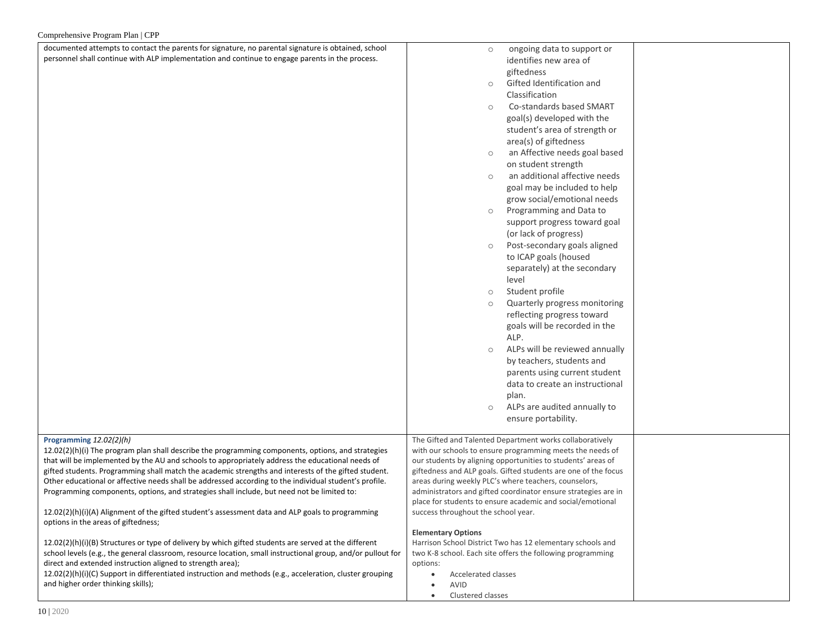| documented attempts to contact the parents for signature, no parental signature is obtained, school          | ongoing data to support or<br>$\circ$                                                   |  |
|--------------------------------------------------------------------------------------------------------------|-----------------------------------------------------------------------------------------|--|
| personnel shall continue with ALP implementation and continue to engage parents in the process.              | identifies new area of                                                                  |  |
|                                                                                                              |                                                                                         |  |
|                                                                                                              | giftedness                                                                              |  |
|                                                                                                              | Gifted Identification and<br>$\circ$                                                    |  |
|                                                                                                              | Classification                                                                          |  |
|                                                                                                              | Co-standards based SMART<br>$\circ$                                                     |  |
|                                                                                                              | goal(s) developed with the                                                              |  |
|                                                                                                              | student's area of strength or                                                           |  |
|                                                                                                              | area(s) of giftedness                                                                   |  |
|                                                                                                              | an Affective needs goal based<br>$\circ$                                                |  |
|                                                                                                              | on student strength                                                                     |  |
|                                                                                                              | an additional affective needs<br>$\circ$                                                |  |
|                                                                                                              | goal may be included to help                                                            |  |
|                                                                                                              | grow social/emotional needs                                                             |  |
|                                                                                                              | Programming and Data to<br>$\circ$                                                      |  |
|                                                                                                              | support progress toward goal                                                            |  |
|                                                                                                              | (or lack of progress)                                                                   |  |
|                                                                                                              | Post-secondary goals aligned<br>$\circ$                                                 |  |
|                                                                                                              | to ICAP goals (housed                                                                   |  |
|                                                                                                              | separately) at the secondary                                                            |  |
|                                                                                                              | level                                                                                   |  |
|                                                                                                              | Student profile<br>$\circ$                                                              |  |
|                                                                                                              | Quarterly progress monitoring<br>$\circ$                                                |  |
|                                                                                                              | reflecting progress toward                                                              |  |
|                                                                                                              | goals will be recorded in the                                                           |  |
|                                                                                                              | ALP.                                                                                    |  |
|                                                                                                              | ALPs will be reviewed annually<br>$\circ$                                               |  |
|                                                                                                              | by teachers, students and                                                               |  |
|                                                                                                              | parents using current student                                                           |  |
|                                                                                                              | data to create an instructional                                                         |  |
|                                                                                                              |                                                                                         |  |
|                                                                                                              | plan.<br>ALPs are audited annually to                                                   |  |
|                                                                                                              | $\circ$                                                                                 |  |
|                                                                                                              | ensure portability.                                                                     |  |
| Programming 12.02(2)(h)                                                                                      | The Gifted and Talented Department works collaboratively                                |  |
| $12.02(2)(h)(i)$ The program plan shall describe the programming components, options, and strategies         | with our schools to ensure programming meets the needs of                               |  |
| that will be implemented by the AU and schools to appropriately address the educational needs of             | our students by aligning opportunities to students' areas of                            |  |
| gifted students. Programming shall match the academic strengths and interests of the gifted student.         | giftedness and ALP goals. Gifted students are one of the focus                          |  |
| Other educational or affective needs shall be addressed according to the individual student's profile.       | areas during weekly PLC's where teachers, counselors,                                   |  |
| Programming components, options, and strategies shall include, but need not be limited to:                   | administrators and gifted coordinator ensure strategies are in                          |  |
|                                                                                                              | place for students to ensure academic and social/emotional                              |  |
| 12.02(2)(h)(i)(A) Alignment of the gifted student's assessment data and ALP goals to programming             | success throughout the school year.                                                     |  |
| options in the areas of giftedness;                                                                          |                                                                                         |  |
| 12.02(2)(h)(i)(B) Structures or type of delivery by which gifted students are served at the different        | <b>Elementary Options</b><br>Harrison School District Two has 12 elementary schools and |  |
| school levels (e.g., the general classroom, resource location, small instructional group, and/or pullout for | two K-8 school. Each site offers the following programming                              |  |
| direct and extended instruction aligned to strength area);                                                   | options:                                                                                |  |
| 12.02(2)(h)(i)(C) Support in differentiated instruction and methods (e.g., acceleration, cluster grouping    | Accelerated classes<br>$\bullet$                                                        |  |
| and higher order thinking skills);                                                                           | AVID<br>$\bullet$                                                                       |  |
|                                                                                                              | Clustered classes<br>$\bullet$                                                          |  |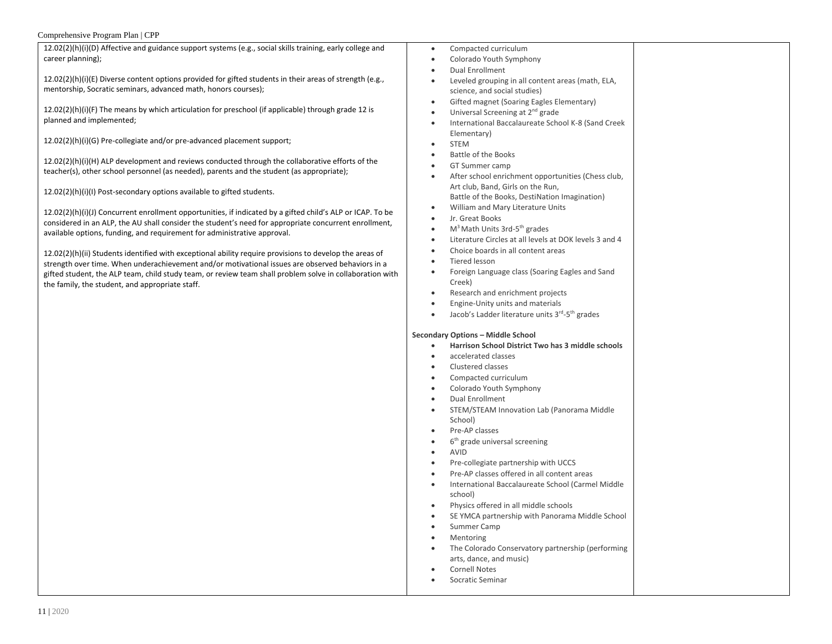## Comprehensive Program Plan | CPP

| $12.02(2)(h)(i)(D)$ Affective and guidance support systems (e.g., social skills training, early college and |
|-------------------------------------------------------------------------------------------------------------|
| career planning);                                                                                           |

12.02(2)(h)(i)(E) Diverse content options provided for gifted students in their areas of strength (e.g., mentorship, Socratic seminars, advanced math, honors courses);

12.02(2)(h)(i)(F) The means by which articulation for preschool (if applicable) through grade 12 is planned and implemented;

12.02(2)(h)(i)(G) Pre-collegiate and/or pre-advanced placement support;

12.02(2)(h)(i)(H) ALP development and reviews conducted through the collaborative efforts of the teacher(s), other school personnel (as needed), parents and the student (as appropriate);

12.02(2)(h)(i)(I) Post-secondary options available to gifted students.

12.02(2)(h)(i)(J) Concurrent enrollment opportunities, if indicated by a gifted child's ALP or ICAP. To be considered in an ALP, the AU shall consider the student's need for appropriate concurrent enrollment, available options, funding, and requirement for administrative approval.

12.02(2)(h)(ii) Students identified with exceptional ability require provisions to develop the areas of strength over time. When underachievement and/or motivational issues are observed behaviors in a gifted student, the ALP team, child study team, or review team shall problem solve in collaboration with the family, the student, and appropriate staff.

- Compacted curriculum
- Colorado Youth Symphony
- Dual Enrollment
- Leveled grouping in all content areas (math, ELA, science, and social studies)
- Gifted magnet (Soaring Eagles Elementary)
- Universal Screening at 2<sup>nd</sup> grade
- International Baccalaureate School K-8 (Sand Creek Elementary)
- **STEM**
- Battle of the Books
- GT Summer camp
- After school enrichment opportunities (Chess club, Art club, Band, Girls on the Run, Battle of the Books, DestiNation Imagination)
- William and Mary Literature Units
- Jr. Great Books
- M<sup>3</sup> Math Units 3rd-5<sup>th</sup> grades
- Literature Circles at all levels at DOK levels 3 and 4
- Choice boards in all content areas
- Tiered lesson
- Foreign Language class (Soaring Eagles and Sand Creek)
- Research and enrichment projects
- Engine-Unity units and materials
- Jacob's Ladder literature units 3<sup>rd</sup>-5<sup>th</sup> grades

## **Secondary Options – Middle School**

- **Harrison School District Two has 3 middle schools**
- accelerated classes
- Clustered classes
- Compacted curriculum
- Colorado Youth Symphony
- Dual Enrollment
- STEM/STEAM Innovation Lab (Panorama Middle School)
- Pre-AP classes
- 6<sup>th</sup> grade universal screening
- AVID
- Pre-collegiate partnership with UCCS
- Pre-AP classes offered in all content areas
- International Baccalaureate School (Carmel Middle school)
- Physics offered in all middle schools
- SE YMCA partnership with Panorama Middle School
- Summer Camp
- Mentoring
- The Colorado Conservatory partnership (performing arts, dance, and music)
- Cornell Notes
- Socratic Seminar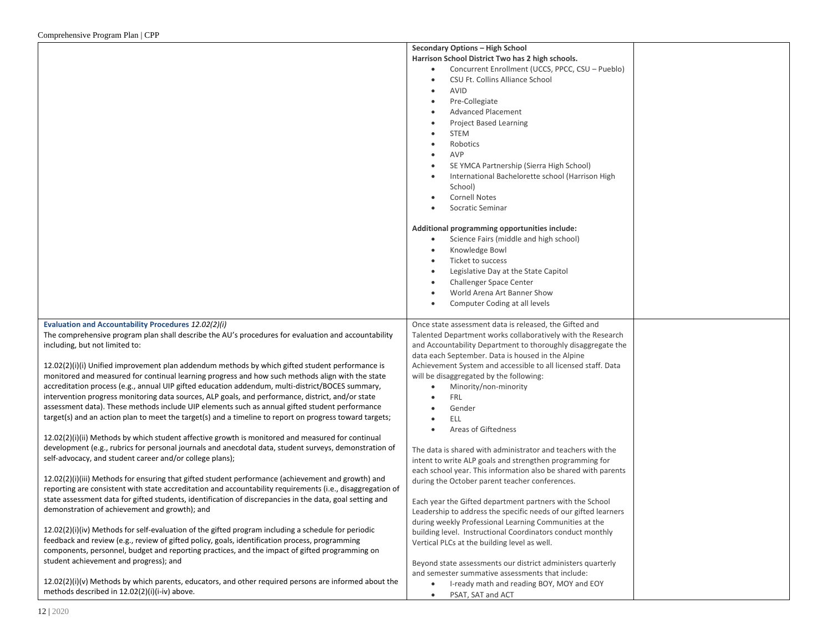|                                                                                                            | Secondary Options - High School                                 |  |
|------------------------------------------------------------------------------------------------------------|-----------------------------------------------------------------|--|
|                                                                                                            | Harrison School District Two has 2 high schools.                |  |
|                                                                                                            | Concurrent Enrollment (UCCS, PPCC, CSU - Pueblo)<br>$\bullet$   |  |
|                                                                                                            | CSU Ft. Collins Alliance School<br>٠                            |  |
|                                                                                                            | AVID<br>٠                                                       |  |
|                                                                                                            | Pre-Collegiate<br>$\bullet$                                     |  |
|                                                                                                            | <b>Advanced Placement</b>                                       |  |
|                                                                                                            | <b>Project Based Learning</b>                                   |  |
|                                                                                                            | <b>STEM</b><br>$\bullet$                                        |  |
|                                                                                                            | Robotics<br>$\bullet$                                           |  |
|                                                                                                            | AVP                                                             |  |
|                                                                                                            | SE YMCA Partnership (Sierra High School)                        |  |
|                                                                                                            | International Bachelorette school (Harrison High<br>$\bullet$   |  |
|                                                                                                            | School)                                                         |  |
|                                                                                                            | <b>Cornell Notes</b>                                            |  |
|                                                                                                            |                                                                 |  |
|                                                                                                            | Socratic Seminar                                                |  |
|                                                                                                            | Additional programming opportunities include:                   |  |
|                                                                                                            | Science Fairs (middle and high school)<br>$\bullet$             |  |
|                                                                                                            |                                                                 |  |
|                                                                                                            | Knowledge Bowl<br>$\bullet$                                     |  |
|                                                                                                            | Ticket to success                                               |  |
|                                                                                                            | Legislative Day at the State Capitol                            |  |
|                                                                                                            | Challenger Space Center                                         |  |
|                                                                                                            | World Arena Art Banner Show<br>$\bullet$                        |  |
|                                                                                                            | Computer Coding at all levels<br>$\bullet$                      |  |
| Evaluation and Accountability Procedures 12.02(2)(i)                                                       | Once state assessment data is released, the Gifted and          |  |
| The comprehensive program plan shall describe the AU's procedures for evaluation and accountability        | Talented Department works collaboratively with the Research     |  |
| including, but not limited to:                                                                             | and Accountability Department to thoroughly disaggregate the    |  |
|                                                                                                            | data each September. Data is housed in the Alpine               |  |
| 12.02(2)(i)(i) Unified improvement plan addendum methods by which gifted student performance is            | Achievement System and accessible to all licensed staff. Data   |  |
| monitored and measured for continual learning progress and how such methods align with the state           | will be disaggregated by the following:                         |  |
| accreditation process (e.g., annual UIP gifted education addendum, multi-district/BOCES summary,           | Minority/non-minority                                           |  |
| intervention progress monitoring data sources, ALP goals, and performance, district, and/or state          | <b>FRL</b><br>$\bullet$                                         |  |
| assessment data). These methods include UIP elements such as annual gifted student performance             | Gender<br>$\bullet$                                             |  |
| target(s) and an action plan to meet the target(s) and a timeline to report on progress toward targets;    | <b>ELL</b><br>$\bullet$                                         |  |
|                                                                                                            | Areas of Giftedness<br>$\bullet$                                |  |
| $12.02(2)(i)(ii)$ Methods by which student affective growth is monitored and measured for continual        |                                                                 |  |
| development (e.g., rubrics for personal journals and anecdotal data, student surveys, demonstration of     | The data is shared with administrator and teachers with the     |  |
| self-advocacy, and student career and/or college plans);                                                   | intent to write ALP goals and strengthen programming for        |  |
|                                                                                                            | each school year. This information also be shared with parents  |  |
| $12.02(2)(i)(iii)$ Methods for ensuring that gifted student performance (achievement and growth) and       | during the October parent teacher conferences.                  |  |
| reporting are consistent with state accreditation and accountability requirements (i.e., disaggregation of |                                                                 |  |
| state assessment data for gifted students, identification of discrepancies in the data, goal setting and   | Each year the Gifted department partners with the School        |  |
| demonstration of achievement and growth); and                                                              | Leadership to address the specific needs of our gifted learners |  |
|                                                                                                            | during weekly Professional Learning Communities at the          |  |
| $12.02(2)(i)(iv)$ Methods for self-evaluation of the gifted program including a schedule for periodic      | building level. Instructional Coordinators conduct monthly      |  |
| feedback and review (e.g., review of gifted policy, goals, identification process, programming             | Vertical PLCs at the building level as well.                    |  |
| components, personnel, budget and reporting practices, and the impact of gifted programming on             |                                                                 |  |
| student achievement and progress); and                                                                     | Beyond state assessments our district administers quarterly     |  |
|                                                                                                            | and semester summative assessments that include:                |  |
| $12.02(2)(i)(v)$ Methods by which parents, educators, and other required persons are informed about the    | I-ready math and reading BOY, MOY and EOY                       |  |
| methods described in 12.02(2)(i)(i-iv) above.                                                              | PSAT, SAT and ACT<br>$\bullet$                                  |  |
|                                                                                                            |                                                                 |  |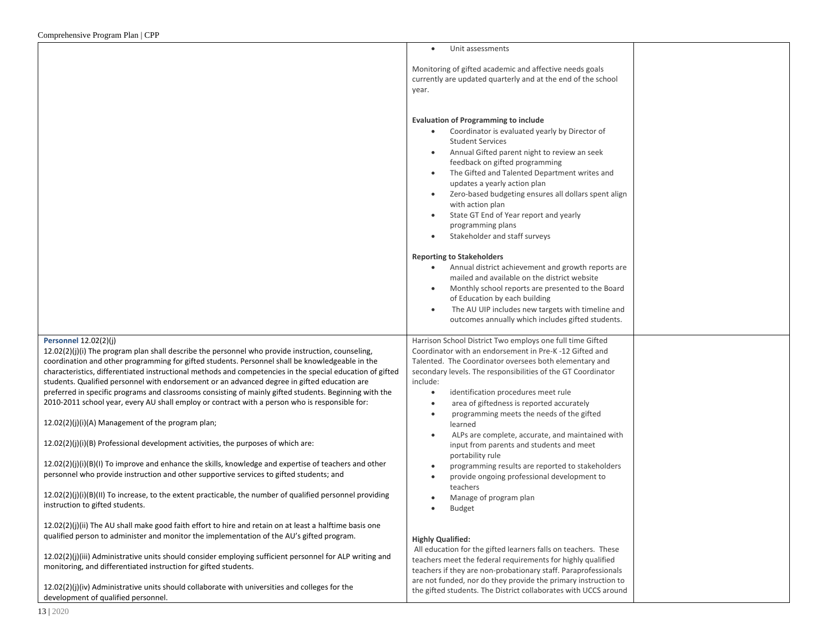|                                                                                                                                                                                                                                                                                                                                                                                                                                                                                                                                                                                                                                                                                                                                                                                                                                                                                                                    | Unit assessments<br>$\bullet$                                                                                                                                                                                                                                                                                                                                                                                                                                                                                                                                                 |  |
|--------------------------------------------------------------------------------------------------------------------------------------------------------------------------------------------------------------------------------------------------------------------------------------------------------------------------------------------------------------------------------------------------------------------------------------------------------------------------------------------------------------------------------------------------------------------------------------------------------------------------------------------------------------------------------------------------------------------------------------------------------------------------------------------------------------------------------------------------------------------------------------------------------------------|-------------------------------------------------------------------------------------------------------------------------------------------------------------------------------------------------------------------------------------------------------------------------------------------------------------------------------------------------------------------------------------------------------------------------------------------------------------------------------------------------------------------------------------------------------------------------------|--|
|                                                                                                                                                                                                                                                                                                                                                                                                                                                                                                                                                                                                                                                                                                                                                                                                                                                                                                                    | Monitoring of gifted academic and affective needs goals<br>currently are updated quarterly and at the end of the school<br>year.                                                                                                                                                                                                                                                                                                                                                                                                                                              |  |
|                                                                                                                                                                                                                                                                                                                                                                                                                                                                                                                                                                                                                                                                                                                                                                                                                                                                                                                    | <b>Evaluation of Programming to include</b><br>Coordinator is evaluated yearly by Director of<br>$\bullet$<br><b>Student Services</b><br>Annual Gifted parent night to review an seek<br>$\bullet$<br>feedback on gifted programming<br>The Gifted and Talented Department writes and<br>$\bullet$<br>updates a yearly action plan<br>Zero-based budgeting ensures all dollars spent align<br>with action plan<br>State GT End of Year report and yearly<br>$\bullet$<br>programming plans<br>Stakeholder and staff surveys<br>$\bullet$<br><b>Reporting to Stakeholders</b>  |  |
|                                                                                                                                                                                                                                                                                                                                                                                                                                                                                                                                                                                                                                                                                                                                                                                                                                                                                                                    | Annual district achievement and growth reports are<br>$\bullet$<br>mailed and available on the district website<br>Monthly school reports are presented to the Board<br>of Education by each building<br>The AU UIP includes new targets with timeline and<br>$\bullet$<br>outcomes annually which includes gifted students.                                                                                                                                                                                                                                                  |  |
| <b>Personnel 12.02(2)(j)</b><br>12.02(2)(j)(i) The program plan shall describe the personnel who provide instruction, counseling,<br>coordination and other programming for gifted students. Personnel shall be knowledgeable in the<br>characteristics, differentiated instructional methods and competencies in the special education of gifted<br>students. Qualified personnel with endorsement or an advanced degree in gifted education are<br>preferred in specific programs and classrooms consisting of mainly gifted students. Beginning with the<br>2010-2011 school year, every AU shall employ or contract with a person who is responsible for:<br>12.02(2)(j)(i)(A) Management of the program plan;<br>12.02(2)(j)(i)(B) Professional development activities, the purposes of which are:<br>$12.02(2)(j)(i)(B)(l)$ To improve and enhance the skills, knowledge and expertise of teachers and other | Harrison School District Two employs one full time Gifted<br>Coordinator with an endorsement in Pre-K-12 Gifted and<br>Talented. The Coordinator oversees both elementary and<br>secondary levels. The responsibilities of the GT Coordinator<br>include:<br>identification procedures meet rule<br>$\bullet$<br>area of giftedness is reported accurately<br>$\bullet$<br>programming meets the needs of the gifted<br>$\bullet$<br>learned<br>ALPs are complete, accurate, and maintained with<br>$\bullet$<br>input from parents and students and meet<br>portability rule |  |
| personnel who provide instruction and other supportive services to gifted students; and<br>$12.02(2)(i)(i)(B)(II)$ To increase, to the extent practicable, the number of qualified personnel providing<br>instruction to gifted students.                                                                                                                                                                                                                                                                                                                                                                                                                                                                                                                                                                                                                                                                          | programming results are reported to stakeholders<br>$\bullet$<br>provide ongoing professional development to<br>$\bullet$<br>teachers<br>Manage of program plan<br><b>Budget</b><br>$\bullet$                                                                                                                                                                                                                                                                                                                                                                                 |  |
| $12.02(2)(j)(ii)$ The AU shall make good faith effort to hire and retain on at least a halftime basis one<br>qualified person to administer and monitor the implementation of the AU's gifted program.                                                                                                                                                                                                                                                                                                                                                                                                                                                                                                                                                                                                                                                                                                             | <b>Highly Qualified:</b><br>All education for the gifted learners falls on teachers. These                                                                                                                                                                                                                                                                                                                                                                                                                                                                                    |  |
| 12.02(2)(j)(iii) Administrative units should consider employing sufficient personnel for ALP writing and<br>monitoring, and differentiated instruction for gifted students.                                                                                                                                                                                                                                                                                                                                                                                                                                                                                                                                                                                                                                                                                                                                        | teachers meet the federal requirements for highly qualified<br>teachers if they are non-probationary staff. Paraprofessionals<br>are not funded, nor do they provide the primary instruction to                                                                                                                                                                                                                                                                                                                                                                               |  |
| $12.02(2)(j)(iv)$ Administrative units should collaborate with universities and colleges for the<br>development of qualified personnel.                                                                                                                                                                                                                                                                                                                                                                                                                                                                                                                                                                                                                                                                                                                                                                            | the gifted students. The District collaborates with UCCS around                                                                                                                                                                                                                                                                                                                                                                                                                                                                                                               |  |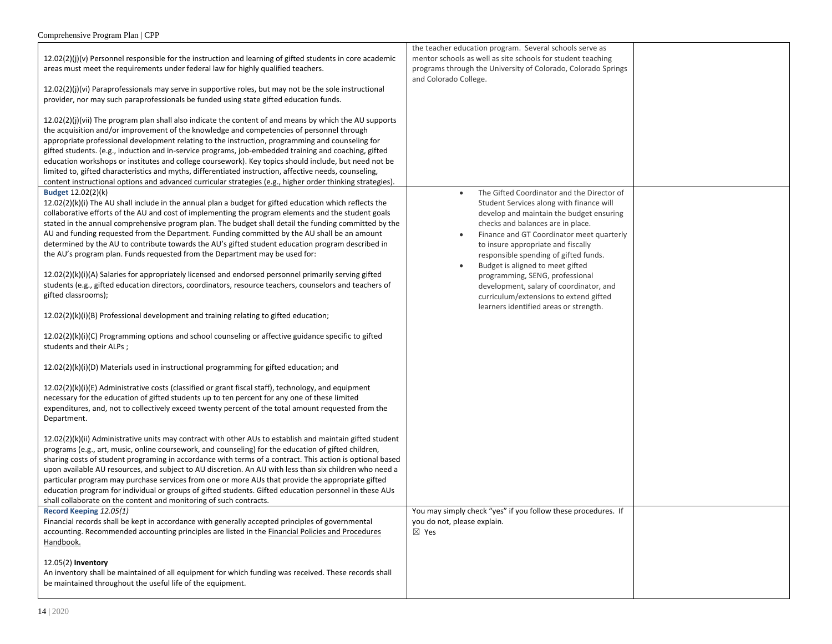|                                                                                                             | the teacher education program. Several schools serve as       |  |
|-------------------------------------------------------------------------------------------------------------|---------------------------------------------------------------|--|
| $12.02(2)(j)(v)$ Personnel responsible for the instruction and learning of gifted students in core academic | mentor schools as well as site schools for student teaching   |  |
| areas must meet the requirements under federal law for highly qualified teachers.                           | programs through the University of Colorado, Colorado Springs |  |
|                                                                                                             |                                                               |  |
|                                                                                                             | and Colorado College.                                         |  |
| 12.02(2)(j)(vi) Paraprofessionals may serve in supportive roles, but may not be the sole instructional      |                                                               |  |
| provider, nor may such paraprofessionals be funded using state gifted education funds.                      |                                                               |  |
|                                                                                                             |                                                               |  |
| 12.02(2)(j)(vii) The program plan shall also indicate the content of and means by which the AU supports     |                                                               |  |
| the acquisition and/or improvement of the knowledge and competencies of personnel through                   |                                                               |  |
| appropriate professional development relating to the instruction, programming and counseling for            |                                                               |  |
| gifted students. (e.g., induction and in-service programs, job-embedded training and coaching, gifted       |                                                               |  |
|                                                                                                             |                                                               |  |
| education workshops or institutes and college coursework). Key topics should include, but need not be       |                                                               |  |
| limited to, gifted characteristics and myths, differentiated instruction, affective needs, counseling,      |                                                               |  |
| content instructional options and advanced curricular strategies (e.g., higher order thinking strategies).  |                                                               |  |
| <b>Budget 12.02(2)(k)</b>                                                                                   | The Gifted Coordinator and the Director of                    |  |
| $12.02(2)(k)(i)$ The AU shall include in the annual plan a budget for gifted education which reflects the   | Student Services along with finance will                      |  |
| collaborative efforts of the AU and cost of implementing the program elements and the student goals         | develop and maintain the budget ensuring                      |  |
| stated in the annual comprehensive program plan. The budget shall detail the funding committed by the       | checks and balances are in place.                             |  |
|                                                                                                             |                                                               |  |
| AU and funding requested from the Department. Funding committed by the AU shall be an amount                | Finance and GT Coordinator meet quarterly                     |  |
| determined by the AU to contribute towards the AU's gifted student education program described in           | to insure appropriate and fiscally                            |  |
| the AU's program plan. Funds requested from the Department may be used for:                                 | responsible spending of gifted funds.                         |  |
|                                                                                                             | Budget is aligned to meet gifted                              |  |
| 12.02(2)(k)(i)(A) Salaries for appropriately licensed and endorsed personnel primarily serving gifted       | programming, SENG, professional                               |  |
| students (e.g., gifted education directors, coordinators, resource teachers, counselors and teachers of     | development, salary of coordinator, and                       |  |
| gifted classrooms);                                                                                         | curriculum/extensions to extend gifted                        |  |
|                                                                                                             | learners identified areas or strength.                        |  |
| $12.02(2)(k)(i)(B)$ Professional development and training relating to gifted education;                     |                                                               |  |
|                                                                                                             |                                                               |  |
|                                                                                                             |                                                               |  |
| 12.02(2)(k)(i)(C) Programming options and school counseling or affective guidance specific to gifted        |                                                               |  |
| students and their ALPs;                                                                                    |                                                               |  |
|                                                                                                             |                                                               |  |
| 12.02(2)(k)(i)(D) Materials used in instructional programming for gifted education; and                     |                                                               |  |
|                                                                                                             |                                                               |  |
| $12.02(2)(k)(i)(E)$ Administrative costs (classified or grant fiscal staff), technology, and equipment      |                                                               |  |
| necessary for the education of gifted students up to ten percent for any one of these limited               |                                                               |  |
| expenditures, and, not to collectively exceed twenty percent of the total amount requested from the         |                                                               |  |
|                                                                                                             |                                                               |  |
| Department.                                                                                                 |                                                               |  |
|                                                                                                             |                                                               |  |
| $12.02(2)(k)(ii)$ Administrative units may contract with other AUs to establish and maintain gifted student |                                                               |  |
| programs (e.g., art, music, online coursework, and counseling) for the education of gifted children,        |                                                               |  |
| sharing costs of student programing in accordance with terms of a contract. This action is optional based   |                                                               |  |
| upon available AU resources, and subject to AU discretion. An AU with less than six children who need a     |                                                               |  |
| particular program may purchase services from one or more AUs that provide the appropriate gifted           |                                                               |  |
| education program for individual or groups of gifted students. Gifted education personnel in these AUs      |                                                               |  |
| shall collaborate on the content and monitoring of such contracts.                                          |                                                               |  |
|                                                                                                             |                                                               |  |
| Record Keeping 12.05(1)                                                                                     | You may simply check "yes" if you follow these procedures. If |  |
| Financial records shall be kept in accordance with generally accepted principles of governmental            | you do not, please explain.                                   |  |
| accounting. Recommended accounting principles are listed in the Financial Policies and Procedures           | $\boxtimes$ Yes                                               |  |
| Handbook.                                                                                                   |                                                               |  |
|                                                                                                             |                                                               |  |
| 12.05(2) Inventory                                                                                          |                                                               |  |
| An inventory shall be maintained of all equipment for which funding was received. These records shall       |                                                               |  |
| be maintained throughout the useful life of the equipment.                                                  |                                                               |  |
|                                                                                                             |                                                               |  |
|                                                                                                             |                                                               |  |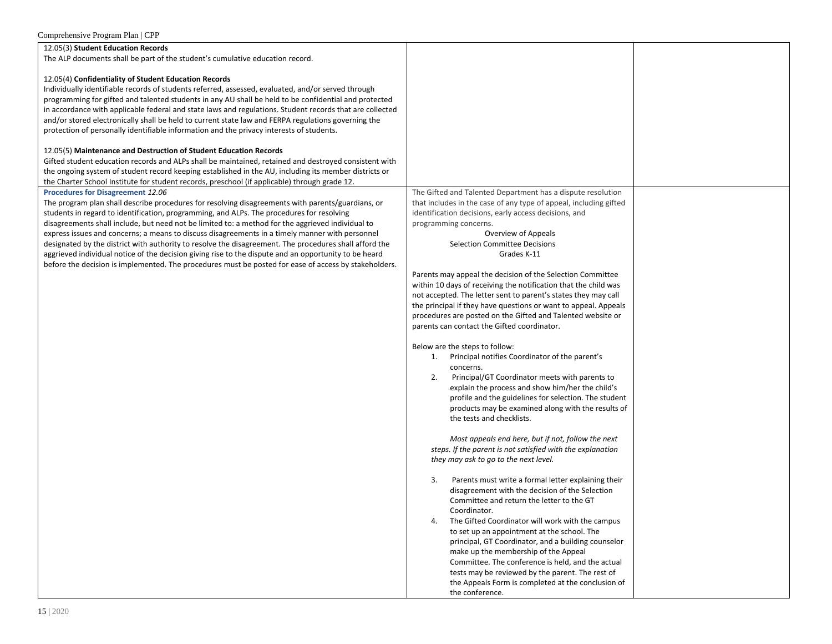| Comprehensive Program Plan   CPP                                                                         |                                                                                           |
|----------------------------------------------------------------------------------------------------------|-------------------------------------------------------------------------------------------|
| 12.05(3) Student Education Records                                                                       |                                                                                           |
| The ALP documents shall be part of the student's cumulative education record.                            |                                                                                           |
|                                                                                                          |                                                                                           |
| 12.05(4) Confidentiality of Student Education Records                                                    |                                                                                           |
| Individually identifiable records of students referred, assessed, evaluated, and/or served through       |                                                                                           |
| programming for gifted and talented students in any AU shall be held to be confidential and protected    |                                                                                           |
| in accordance with applicable federal and state laws and regulations. Student records that are collected |                                                                                           |
| and/or stored electronically shall be held to current state law and FERPA regulations governing the      |                                                                                           |
| protection of personally identifiable information and the privacy interests of students.                 |                                                                                           |
|                                                                                                          |                                                                                           |
| 12.05(5) Maintenance and Destruction of Student Education Records                                        |                                                                                           |
| Gifted student education records and ALPs shall be maintained, retained and destroyed consistent with    |                                                                                           |
| the ongoing system of student record keeping established in the AU, including its member districts or    |                                                                                           |
| the Charter School Institute for student records, preschool (if applicable) through grade 12.            |                                                                                           |
| Procedures for Disagreement 12.06                                                                        | The Gifted and Talented Department has a dispute resolution                               |
| The program plan shall describe procedures for resolving disagreements with parents/guardians, or        | that includes in the case of any type of appeal, including gifted                         |
| students in regard to identification, programming, and ALPs. The procedures for resolving                | identification decisions, early access decisions, and                                     |
| disagreements shall include, but need not be limited to: a method for the aggrieved individual to        | programming concerns.                                                                     |
| express issues and concerns; a means to discuss disagreements in a timely manner with personnel          | Overview of Appeals                                                                       |
| designated by the district with authority to resolve the disagreement. The procedures shall afford the   | <b>Selection Committee Decisions</b>                                                      |
| aggrieved individual notice of the decision giving rise to the dispute and an opportunity to be heard    | Grades K-11                                                                               |
| before the decision is implemented. The procedures must be posted for ease of access by stakeholders.    |                                                                                           |
|                                                                                                          | Parents may appeal the decision of the Selection Committee                                |
|                                                                                                          | within 10 days of receiving the notification that the child was                           |
|                                                                                                          | not accepted. The letter sent to parent's states they may call                            |
|                                                                                                          | the principal if they have questions or want to appeal. Appeals                           |
|                                                                                                          | procedures are posted on the Gifted and Talented website or                               |
|                                                                                                          | parents can contact the Gifted coordinator.                                               |
|                                                                                                          | Below are the steps to follow:                                                            |
|                                                                                                          | 1. Principal notifies Coordinator of the parent's                                         |
|                                                                                                          | concerns.                                                                                 |
|                                                                                                          | 2.<br>Principal/GT Coordinator meets with parents to                                      |
|                                                                                                          | explain the process and show him/her the child's                                          |
|                                                                                                          | profile and the guidelines for selection. The student                                     |
|                                                                                                          | products may be examined along with the results of                                        |
|                                                                                                          | the tests and checklists.                                                                 |
|                                                                                                          |                                                                                           |
|                                                                                                          | Most appeals end here, but if not, follow the next                                        |
|                                                                                                          | steps. If the parent is not satisfied with the explanation                                |
|                                                                                                          | they may ask to go to the next level.                                                     |
|                                                                                                          |                                                                                           |
|                                                                                                          | Parents must write a formal letter explaining their<br>3.                                 |
|                                                                                                          | disagreement with the decision of the Selection                                           |
|                                                                                                          | Committee and return the letter to the GT                                                 |
|                                                                                                          | Coordinator.                                                                              |
|                                                                                                          | The Gifted Coordinator will work with the campus<br>4.                                    |
|                                                                                                          | to set up an appointment at the school. The                                               |
|                                                                                                          | principal, GT Coordinator, and a building counselor                                       |
|                                                                                                          | make up the membership of the Appeal<br>Committee. The conference is held, and the actual |
|                                                                                                          | tests may be reviewed by the parent. The rest of                                          |
|                                                                                                          | the Appeals Form is completed at the conclusion of                                        |
|                                                                                                          | the conference.                                                                           |
|                                                                                                          |                                                                                           |